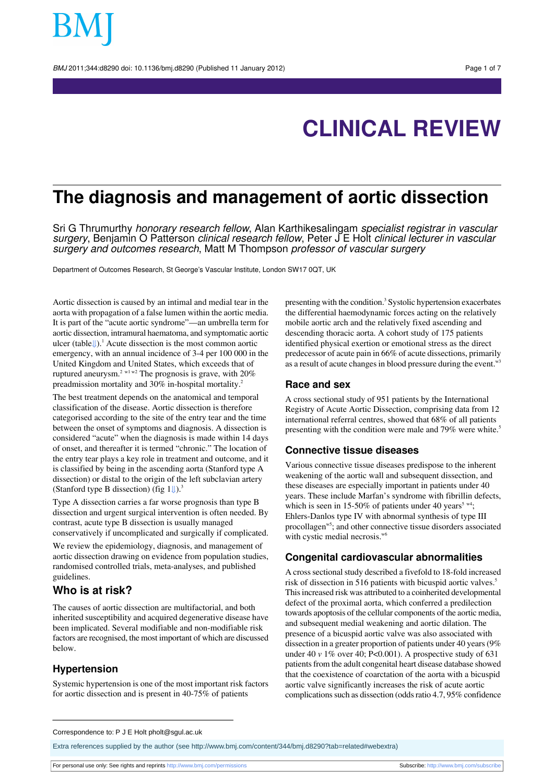BMJ 2011:344:d8290 doi: 10.1136/bmi.d8290 (Published 11 January 2012) Page 1 of 7

# **CLINICAL REVIEW**

## **The diagnosis and management of aortic dissection**

Sri G Thrumurthy honorary research fellow, Alan Karthikesalingam specialist registrar in vascular surgery, Benjamin O Patterson clinical research fellow, Peter J E Holt clinical lecturer in vascular surgery and outcomes research, Matt M Thompson professor of vascular surgery

Department of Outcomes Research, St George's Vascular Institute, London SW17 0QT, UK

Aortic dissection is caused by an intimal and medial tear in the aorta with propagation of a false lumen within the aortic media. It is part of the "acute aortic syndrome"—an umbrella term for aortic dissection, intramural haematoma, and symptomatic aortic ulcer (table $\mathbb{U}$ ).<sup>1</sup> Acute dissection is the most common aortic emergency, with an annual incidence of 3-4 per 100 000 in the United Kingdom and United States, which exceeds that of ruptured aneurysm.<sup>2 w1 w2</sup> The prognosis is grave, with  $20\%$ preadmission mortality and 30% in-hospital mortality.<sup>2</sup>

The best treatment depends on the anatomical and temporal classification of the disease. Aortic dissection is therefore categorised according to the site of the entry tear and the time between the onset of symptoms and diagnosis. A dissection is considered "acute" when the diagnosis is made within 14 days of onset, and thereafter it is termed "chronic." The location of the entry tear plays a key role in treatment and outcome, and it is classified by being in the ascending aorta (Stanford type A dissection) or distal to the origin of the left subclavian artery (Stanford type B dissection) (fig  $1\sqrt{ }$ ).<sup>3</sup>

Type A dissection carries a far worse prognosis than type B dissection and urgent surgical intervention is often needed. By contrast, acute type B dissection is usually managed conservatively if uncomplicated and surgically if complicated.

We review the epidemiology, diagnosis, and management of aortic dissection drawing on evidence from population studies, randomised controlled trials, meta-analyses, and published guidelines.

## **Who is at risk?**

The causes of aortic dissection are multifactorial, and both inherited susceptibility and acquired degenerative disease have been implicated. Several modifiable and non-modifiable risk factors are recognised, the most important of which are discussed below.

#### **Hypertension**

Systemic hypertension is one of the most important risk factors for aortic dissection and is present in 40-75% of patients

presenting with the condition.<sup>3</sup> Systolic hypertension exacerbates the differential haemodynamic forces acting on the relatively mobile aortic arch and the relatively fixed ascending and descending thoracic aorta. A cohort study of 175 patients identified physical exertion or emotional stress as the direct predecessor of acute pain in 66% of acute dissections, primarily as a result of acute changes in blood pressure during the event. $w^2$ 

#### **Race and sex**

A cross sectional study of 951 patients by the International Registry of Acute Aortic Dissection, comprising data from 12 international referral centres, showed that 68% of all patients presenting with the condition were male and 79% were white.<sup>5</sup>

#### **Connective tissue diseases**

Various connective tissue diseases predispose to the inherent weakening of the aortic wall and subsequent dissection, and these diseases are especially important in patients under 40 years. These include Marfan's syndrome with fibrillin defects, which is seen in 15-50% of patients under 40 years<sup>5 w4</sup>; Ehlers-Danlos type IV with abnormal synthesis of type III procollagen<sup>w5</sup>; and other connective tissue disorders associated with cystic medial necrosis.<sup>w6</sup>

#### **Congenital cardiovascular abnormalities**

A cross sectional study described a fivefold to 18-fold increased risk of dissection in 516 patients with bicuspid aortic valves.<sup>5</sup> This increased risk was attributed to a coinherited developmental defect of the proximal aorta, which conferred a predilection towards apoptosis of the cellular components of the aortic media, and subsequent medial weakening and aortic dilation. The presence of a bicuspid aortic valve was also associated with dissection in a greater proportion of patients under 40 years(9% under 40 *v* 1% over 40; P<0.001). A prospective study of 631 patients from the adult congenital heart disease database showed that the coexistence of coarctation of the aorta with a bicuspid aortic valve significantly increases the risk of acute aortic complications such as dissection (odds ratio 4.7, 95% confidence

Correspondence to: P J E Holt pholt@sgul.ac.uk

Extra references supplied by the author (see <http://www.bmj.com/content/344/bmj.d8290?tab=related#webextra>)

For personal use only: See rights and reprints<http://www.bmj.com/permissions> Subscribe: <http://www.bmj.com/subscribe>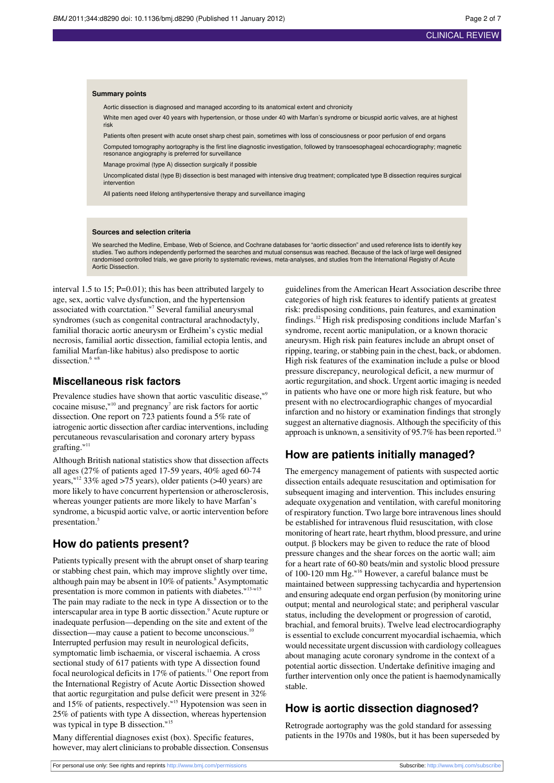#### **Summary points**

Aortic dissection is diagnosed and managed according to its anatomical extent and chronicity

White men aged over 40 years with hypertension, or those under 40 with Marfan's syndrome or bicuspid aortic valves, are at highest risk

Patients often present with acute onset sharp chest pain, sometimes with loss of consciousness or poor perfusion of end organs

Computed tomography aortography is the first line diagnostic investigation, followed by transoesophageal echocardiography; magnetic resonance angiography is preferred for surveillance

Manage proximal (type A) dissection surgically if possible

Uncomplicated distal (type B) dissection is best managed with intensive drug treatment; complicated type B dissection requires surgical intervention

All patients need lifelong antihypertensive therapy and surveillance imaging

#### **Sources and selection criteria**

We searched the Medline, Embase, Web of Science, and Cochrane databases for "aortic dissection" and used reference lists to identify key studies. Two authors independently performed the searches and mutual consensus was reached. Because of the lack of large well designed randomised controlled trials, we gave priority to systematic reviews, meta-analyses, and studies from the International Registry of Acute Aortic Dissection.

interval 1.5 to 15; P=0.01); this has been attributed largely to age, sex, aortic valve dysfunction, and the hypertension associated with coarctation.<sup>w7</sup> Several familial aneurysmal syndromes (such as congenital contractural arachnodactyly, familial thoracic aortic aneurysm or Erdheim's cystic medial necrosis, familial aortic dissection, familial ectopia lentis, and familial Marfan-like habitus) also predispose to aortic dissection.<sup>6 w8</sup>

#### **Miscellaneous risk factors**

Prevalence studies have shown that aortic vasculitic disease,  $\mathbb{S}^8$ cocaine misuse, $w_{10}$  and pregnancy<sup>7</sup> are risk factors for aortic dissection. One report on 723 patients found a 5% rate of iatrogenic aortic dissection after cardiac interventions, including percutaneous revascularisation and coronary artery bypass  $graffing.^{\rm w11}$ 

Although British national statistics show that dissection affects all ages (27% of patients aged 17-59 years, 40% aged 60-74 years,  $v^{12}$  33% aged >75 years), older patients (>40 years) are more likely to have concurrent hypertension or atherosclerosis, whereas younger patients are more likely to have Marfan's syndrome, a bicuspid aortic valve, or aortic intervention before presentation.<sup>5</sup>

## **How do patients present?**

Patients typically present with the abrupt onset of sharp tearing or stabbing chest pain, which may improve slightly over time, although pain may be absent in  $10\%$  of patients.<sup>8</sup> Asymptomatic presentation is more common in patients with diabetes.<sup>w13-w15</sup> The pain may radiate to the neck in type A dissection or to the interscapular area in type B aortic dissection.<sup>9</sup> Acute rupture or inadequate perfusion—depending on the site and extent of the dissection—may cause a patient to become unconscious.<sup>10</sup> Interrupted perfusion may result in neurological deficits, symptomatic limb ischaemia, or visceral ischaemia. A cross sectional study of 617 patients with type A dissection found focal neurological deficits in  $17\%$  of patients.<sup>11</sup> One report from the International Registry of Acute Aortic Dissection showed that aortic regurgitation and pulse deficit were present in 32% and 15% of patients, respectively. $N15$  Hypotension was seen in 25% of patients with type A dissection, whereas hypertension was typical in type B dissection.<sup>w15</sup>

Many differential diagnoses exist (box). Specific features, however, may alert clinicians to probable dissection. Consensus

guidelines from the American Heart Association describe three categories of high risk features to identify patients at greatest risk: predisposing conditions, pain features, and examination findings.<sup>12</sup> High risk predisposing conditions include Marfan's syndrome, recent aortic manipulation, or a known thoracic aneurysm. High risk pain features include an abrupt onset of ripping, tearing, orstabbing pain in the chest, back, or abdomen. High risk features of the examination include a pulse or blood pressure discrepancy, neurological deficit, a new murmur of aortic regurgitation, and shock. Urgent aortic imaging is needed in patients who have one or more high risk feature, but who present with no electrocardiographic changes of myocardial infarction and no history or examination findings that strongly suggest an alternative diagnosis. Although the specificity of this approach is unknown, a sensitivity of 95.7% has been reported.<sup>13</sup>

## **How are patients initially managed?**

The emergency management of patients with suspected aortic dissection entails adequate resuscitation and optimisation for subsequent imaging and intervention. This includes ensuring adequate oxygenation and ventilation, with careful monitoring of respiratory function. Two large bore intravenous lines should be established for intravenous fluid resuscitation, with close monitoring of heart rate, heart rhythm, blood pressure, and urine output. β blockers may be given to reduce the rate of blood pressure changes and the shear forces on the aortic wall; aim for a heart rate of 60-80 beats/min and systolic blood pressure of 100-120 mm Hg.<sup>w16</sup> However, a careful balance must be maintained between suppressing tachycardia and hypertension and ensuring adequate end organ perfusion (by monitoring urine output; mental and neurological state; and peripheral vascular status, including the development or progression of carotid, brachial, and femoral bruits). Twelve lead electrocardiography is essential to exclude concurrent myocardial ischaemia, which would necessitate urgent discussion with cardiology colleagues about managing acute coronary syndrome in the context of a potential aortic dissection. Undertake definitive imaging and further intervention only once the patient is haemodynamically stable.

## **How is aortic dissection diagnosed?**

Retrograde aortography was the gold standard for assessing patients in the 1970s and 1980s, but it has been superseded by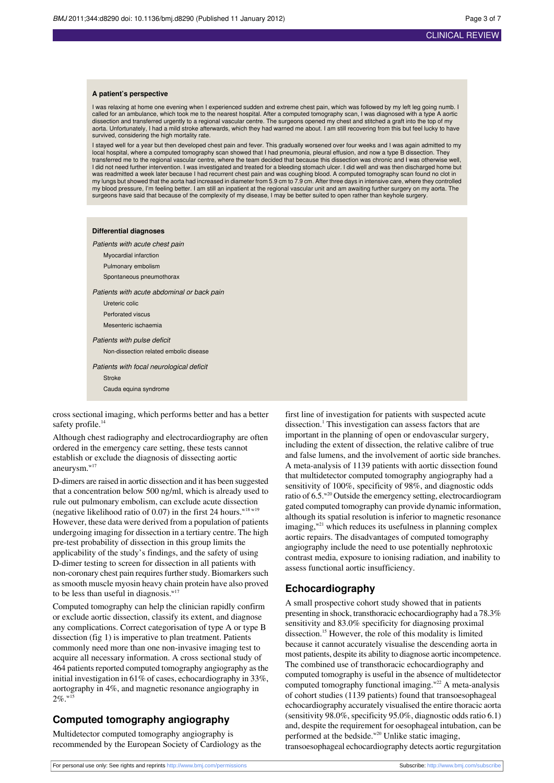## CLINICAL REVIEW

#### **A patient's perspective**

I was relaxing at home one evening when I experienced sudden and extreme chest pain, which was followed by my left leg going numb. I called for an ambulance, which took me to the nearest hospital. After a computed tomography scan, I was diagnosed with a type A aortic dissection and transferred urgently to a regional vascular centre. The surgeons opened my chest and stitched a graft into the top of my<br>aorta. Unfortunately, I had a mild stroke afterwards, which they had warned me about. survived, considering the high mortality rate.

I stayed well for a year but then developed chest pain and fever. This gradually worsened over four weeks and I was again admitted to my local hospital, where a computed tomography scan showed that I had pneumonia, pleural effusion, and now a type B dissection. They<br>transferred me to the regional vascular centre, where the team decided that because this dis I did not need further intervention. I was investigated and treated for a bleeding stomach ulcer. I did well and was then discharged home but was readmitted a week later because I had recurrent chest pain and was coughing blood. A computed tomography scan found no clot in my lungs but showed that the aorta had increased in diameter from 5.9 cm to 7.9 cm. After three days in intensive care, where they controlled my blood pressure, I'm feeling better. I am still an inpatient at the regional vascular unit and am awaiting further surgery on my aorta. The surgeons have said that because of the complexity of my disease, I may be better suited to open rather than keyhole surgery.

#### **Differential diagnoses**

Patients with acute chest pain

Myocardial infarction Pulmonary embolism Spontaneous pneumothorax

Patients with acute abdominal or back pain

Ureteric colic Perforated viscus

Mesenteric ischaemia

Patients with pulse deficit Non-dissection related embolic disease

Patients with focal neurological deficit Stroke Cauda equina syndrome

cross sectional imaging, which performs better and has a better safety profile.<sup>14</sup>

Although chest radiography and electrocardiography are often ordered in the emergency care setting, these tests cannot establish or exclude the diagnosis of dissecting aortic aneurysm.<sup>w17</sup>

D-dimers are raised in aortic dissection and it has been suggested that a concentration below 500 ng/ml, which is already used to rule out pulmonary embolism, can exclude acute dissection (negative likelihood ratio of  $0.07$ ) in the first 24 hours.<sup>w18</sup> However, these data were derived from a population of patients undergoing imaging for dissection in a tertiary centre. The high pre-test probability of dissection in this group limits the applicability of the study's findings, and the safety of using D-dimer testing to screen for dissection in all patients with non-coronary chest pain requires further study. Biomarkers such assmooth muscle myosin heavy chain protein have also proved to be less than useful in diagnosis.<sup>w17</sup>

Computed tomography can help the clinician rapidly confirm or exclude aortic dissection, classify its extent, and diagnose any complications. Correct categorisation of type A or type B dissection (fig 1) is imperative to plan treatment. Patients commonly need more than one non-invasive imaging test to acquire all necessary information. A cross sectional study of 464 patients reported computed tomography angiography as the initial investigation in 61% of cases, echocardiography in 33%, aortography in 4%, and magnetic resonance angiography in  $2\%$ .

## **Computed tomography angiography**

Multidetector computed tomography angiography is recommended by the European Society of Cardiology as the

first line of investigation for patients with suspected acute dissection.<sup>1</sup> This investigation can assess factors that are important in the planning of open or endovascular surgery, including the extent of dissection, the relative calibre of true and false lumens, and the involvement of aortic side branches. A meta-analysis of 1139 patients with aortic dissection found that multidetector computed tomography angiography had a sensitivity of 100%, specificity of 98%, and diagnostic odds ratio of 6.5.<sup>w20</sup> Outside the emergency setting, electrocardiogram gated computed tomography can provide dynamic information, although its spatial resolution is inferior to magnetic resonance imaging, $w^{21}$  which reduces its usefulness in planning complex aortic repairs. The disadvantages of computed tomography angiography include the need to use potentially nephrotoxic contrast media, exposure to ionising radiation, and inability to assess functional aortic insufficiency.

#### **Echocardiography**

A small prospective cohort study showed that in patients presenting in shock, transthoracic echocardiography had a 78.3% sensitivity and 83.0% specificity for diagnosing proximal dissection.<sup>15</sup> However, the role of this modality is limited because it cannot accurately visualise the descending aorta in most patients, despite its ability to diagnose aortic incompetence. The combined use of transthoracic echocardiography and computed tomography is useful in the absence of multidetector computed tomography functional imaging. $w^{22}$  A meta-analysis of cohort studies (1139 patients) found that transoesophageal echocardiography accurately visualised the entire thoracic aorta (sensitivity 98.0%, specificity 95.0%, diagnostic odds ratio 6.1) and, despite the requirement for oesophageal intubation, can be performed at the bedside. $w^{20}$  Unlike static imaging, transoesophageal echocardiography detects aortic regurgitation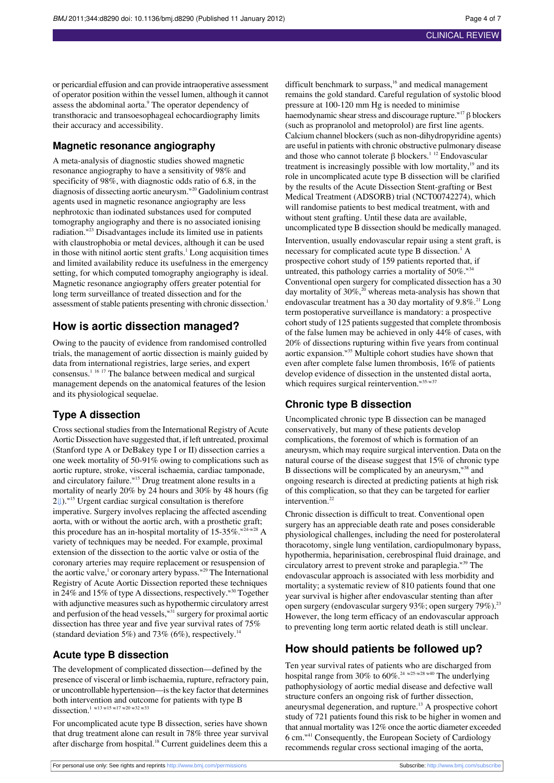or pericardial effusion and can provide intraoperative assessment of operator position within the vessel lumen, although it cannot assess the abdominal aorta.<sup>9</sup> The operator dependency of transthoracic and transoesophageal echocardiography limits their accuracy and accessibility.

#### **Magnetic resonance angiography**

A meta-analysis of diagnostic studies showed magnetic resonance angiography to have a sensitivity of 98% and specificity of 98%, with diagnostic odds ratio of 6.8, in the diagnosis of dissecting aortic aneurysm.<sup>w20</sup> Gadolinium contrast agents used in magnetic resonance angiography are less nephrotoxic than iodinated substances used for computed tomography angiography and there is no associated ionising radiation.w23 Disadvantages include its limited use in patients with claustrophobia or metal devices, although it can be used in those with nitinol aortic stent grafts. $<sup>1</sup>$  Long acquisition times</sup> and limited availability reduce its usefulness in the emergency setting, for which computed tomography angiography is ideal. Magnetic resonance angiography offers greater potential for long term surveillance of treated dissection and for the assessment of stable patients presenting with chronic dissection.<sup>1</sup>

## **How is aortic dissection managed?**

Owing to the paucity of evidence from randomised controlled trials, the management of aortic dissection is mainly guided by data from international registries, large series, and expert consensus.<sup>1</sup> <sup>16</sup> <sup>17</sup> The balance between medical and surgical management depends on the anatomical features of the lesion and its physiological sequelae.

## **Type A dissection**

Cross sectional studies from the International Registry of Acute Aortic Dissection have suggested that, if left untreated, proximal (Stanford type A or DeBakey type I or II) dissection carries a one week mortality of 50-91% owing to complications such as aortic rupture, stroke, visceral ischaemia, cardiac tamponade, and circulatory failure.<sup>w15</sup> Drug treatment alone results in a mortality of nearly 20% by 24 hours and 30% by 48 hours (fig  $2\mathbb{U}$ .<sup>w15</sup> Urgent cardiac surgical consultation is therefore imperative. Surgery involves replacing the affected ascending aorta, with or without the aortic arch, with a prosthetic graft; this procedure has an in-hospital mortality of 15-35%.  $W^{24-w28}$  A variety of techniques may be needed. For example, proximal extension of the dissection to the aortic valve or ostia of the coronary arteries may require replacement or resuspension of the aortic valve,<sup>1</sup> or coronary artery bypass.<sup>w29</sup> The International Registry of Acute Aortic Dissection reported these techniques in 24% and 15% of type A dissections, respectively.<sup>w30</sup> Together with adjunctive measures such as hypothermic circulatory arrest and perfusion of the head vessels, w<sub>31</sub> surgery for proximal aortic dissection has three year and five year survival rates of 75% (standard deviation 5%) and 73% (6%), respectively.<sup>14</sup>

## **Acute type B dissection**

The development of complicated dissection—defined by the presence of visceral or limb ischaemia, rupture, refractory pain, or uncontrollable hypertension—isthe key factor that determines both intervention and outcome for patients with type B dissection.<sup>1</sup> w13 w15 w17 w20 w32 w33

For uncomplicated acute type B dissection, series have shown that drug treatment alone can result in 78% three year survival after discharge from hospital.<sup>18</sup> Current guidelines deem this a

difficult benchmark to surpass,<sup>16</sup> and medical management remains the gold standard. Careful regulation of systolic blood pressure at 100-120 mm Hg is needed to minimise haemodynamic shear stress and discourage rupture. $N^{17}$  β blockers (such as propranolol and metoprolol) are first line agents. Calcium channel blockers(such as non-dihydropyridine agents) are useful in patients with chronic obstructive pulmonary disease and those who cannot tolerate β blockers.<sup>1 12</sup> Endovascular treatment is increasingly possible with low mortality,<sup>19</sup> and its role in uncomplicated acute type B dissection will be clarified by the results of the Acute Dissection Stent-grafting or Best Medical Treatment (ADSORB) trial (NCT00742274), which will randomise patients to best medical treatment, with and without stent grafting. Until these data are available, uncomplicated type B dissection should be medically managed. Intervention, usually endovascular repair using a stent graft, is necessary for complicated acute type B dissection.<sup>1</sup> A prospective cohort study of 159 patients reported that, if untreated, this pathology carries a mortality of  $50\%$ . Conventional open surgery for complicated dissection has a 30 day mortality of 30%,<sup>20</sup> whereas meta-analysis has shown that endovascular treatment has a 30 day mortality of  $9.8\%$ <sup>21</sup> Long term postoperative surveillance is mandatory: a prospective cohort study of 125 patients suggested that complete thrombosis of the false lumen may be achieved in only 44% of cases, with 20% of dissections rupturing within five years from continual aortic expansion.<sup>w35</sup> Multiple cohort studies have shown that even after complete false lumen thrombosis, 16% of patients develop evidence of dissection in the unstented distal aorta, which requires surgical reintervention. $^{w35-w37}$ 

#### **Chronic type B dissection**

Uncomplicated chronic type B dissection can be managed conservatively, but many of these patients develop complications, the foremost of which is formation of an aneurysm, which may require surgical intervention. Data on the natural course of the disease suggest that 15% of chronic type B dissections will be complicated by an aneurysm,<sup>w38</sup> and ongoing research is directed at predicting patients at high risk of this complication, so that they can be targeted for earlier intervention.<sup>22</sup>

Chronic dissection is difficult to treat. Conventional open surgery has an appreciable death rate and poses considerable physiological challenges, including the need for posterolateral thoracotomy, single lung ventilation, cardiopulmonary bypass, hypothermia, heparinisation, cerebrospinal fluid drainage, and circulatory arrest to prevent stroke and paraplegia. $\frac{1000 \text{ m}}{39}$  The endovascular approach is associated with less morbidity and mortality; a systematic review of 810 patients found that one year survival is higher after endovascular stenting than after open surgery (endovascular surgery 93%; open surgery 79%).<sup>23</sup> However, the long term efficacy of an endovascular approach to preventing long term aortic related death is still unclear.

## **How should patients be followed up?**

Ten year survival rates of patients who are discharged from hospital range from 30% to  $60\%$ .<sup>24 w25-w28 w40</sup> The underlying pathophysiology of aortic medial disease and defective wall structure confers an ongoing risk of further dissection, aneurysmal degeneration, and rupture.<sup>13</sup> A prospective cohort study of 721 patients found this risk to be higher in women and that annual mortality was 12% once the aortic diameter exceeded 6 cm.w41 Consequently, the European Society of Cardiology recommends regular cross sectional imaging of the aorta,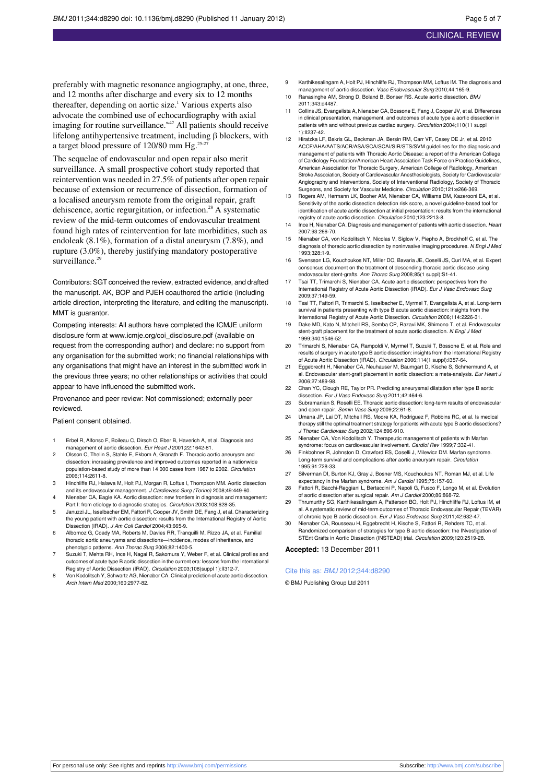The sequelae of endovascular and open repair also merit surveillance. A small prospective cohort study reported that reintervention was needed in 27.5% of patients after open repair because of extension or recurrence of dissection, formation of a localised aneurysm remote from the original repair, graft dehiscence, aortic regurgitation, or infection.<sup>28</sup> A systematic review of the mid-term outcomes of endovascular treatment found high rates of reintervention for late morbidities, such as endoleak (8.1%), formation of a distal aneurysm (7.8%), and rupture (3.0%), thereby justifying mandatory postoperative surveillance.<sup>29</sup>

Contributors: SGT conceived the review, extracted evidence, and drafted the manuscript. AK, BOP and PJEH coauthored the article (including article direction, interpreting the literature, and editing the manuscript). MMT is guarantor.

Competing interests: All authors have completed the ICMJE uniform disclosure form at [www.icmje.org/coi\\_disclosure.pdf](http://www.icmje.org/coi_disclosure.pdf) (available on request from the corresponding author) and declare: no support from any organisation for the submitted work; no financial relationships with any organisations that might have an interest in the submitted work in the previous three years; no other relationships or activities that could appear to have influenced the submitted work.

Provenance and peer review: Not commissioned; externally peer reviewed.

Patient consent obtained.

- Erbel R, Alfonso F, Boileau C, Dirsch O, Eber B, Haverich A, et al. Diagnosis and management of aortic dissection. Eur Heart J 2001;22:1642-81.
- 2 Olsson C, Thelin S, Stahle E, Ekbom A, Granath F. Thoracic aortic aneurysm and dissection: increasing prevalence and improved outcomes reported in a nationwide population-based study of more than 14 000 cases from 1987 to 2002. Circulation 2006;114:2611-8.
- 3 Hinchliffe RJ, Halawa M, Holt PJ, Morgan R, Loftus I, Thompson MM. Aortic dissection and its endovascular management. J Cardiovasc Surg (Torino) 2008;49:449-60.
- 4 Nienaber CA, Eagle KA. Aortic dissection: new frontiers in diagnosis and management: Part I: from etiology to diagnostic strategies. Circulation 2003;108:628-35.
- 5 Januzzi JL, Isselbacher EM, Fattori R, Cooper JV, Smith DE, Fang J, et al. Characterizing the young patient with aortic dissection: results from the International Registry of Aortic Dissection (IRAD). J Am Coll Cardiol 2004;43:665-9.
- 6 Albornoz G, Coady MA, Roberts M, Davies RR, Tranquilli M, Rizzo JA, et al. Familial thoracic aortic aneurysms and dissections—incidence, modes of inheritance, and phenotypic patterns. Ann Thorac Surg 2006;82:1400-5.
- 7 Suzuki T, Mehta RH, Ince H, Nagai R, Sakomura Y, Weber F, et al. Clinical profiles and outcomes of acute type B aortic dissection in the current era: lessons from the International Registry of Aortic Dissection (IRAD). Circulation 2003;108(suppl 1):II312-7.
- 8 Von Kodolitsch Y, Schwartz AG, Nienaber CA. Clinical prediction of acute aortic dissection. Arch Intern Med 2000;160:2977-82.
- 9 Karthikesalingam A, Holt PJ, Hinchliffe RJ, Thompson MM, Loftus IM. The diagnosis and management of aortic dissection. Vasc Endovascular Surg 2010;44:165-9.
- 10 Ranasinghe AM, Strong D, Boland B, Bonser RS. Acute aortic dissection. BM. 2011;343:d4487.
- 11 Collins JS, Evangelista A, Nienaber CA, Bossone E, Fang J, Cooper JV, et al. Differences in clinical presentation, management, and outcomes of acute type a aortic dissection in patients with and without previous cardiac surgery. Circulation 2004;110(11 suppl 1):II237-42.
- 12 Hiratzka LF, Bakris GL, Beckman JA, Bersin RM, Carr VF, Casey DE Jr, et al. 2010 ACCF/AHA/AATS/ACR/ASA/SCA/SCAI/SIR/STS/SVM guidelines for the diagnosis and management of patients with Thoracic Aortic Disease: a report of the American College of Cardiology Foundation/American Heart Association Task Force on Practice Guidelines, American Association for Thoracic Surgery, American College of Radiology, American Stroke Association, Society of Cardiovascular Anesthesiologists, Society for Cardiovascular Angiography and Interventions, Society of Interventional Radiology, Society of Thoracic Surgeons, and Society for Vascular Medicine. Circulation 2010;121:e266-369.
- Rogers AM, Hermann LK, Booher AM, Nienaber CA, Williams DM, Kazerooni EA, et al. Sensitivity of the aortic dissection detection risk score, a novel guideline-based tool for identification of acute aortic dissection at initial presentation: results from the international registry of acute aortic dissection. Circulation 2010;123:2213-8.
- 14 Ince H, Nienaber CA. Diagnosis and management of patients with aortic dissection. Heart 2007;93:266-70.
- 15 Nienaber CA, von Kodolitsch Y, Nicolas V, Siglow V, Piepho A, Brockhoff C, et al. The diagnosis of thoracic aortic dissection by noninvasive imaging procedures. N Engl J Med 1993;328:1-9.
- 16 Svensson LG, Kouchoukos NT, Miller DC, Bavaria JE, Coselli JS, Curi MA, et al. Expert consensus document on the treatment of descending thoracic aortic disease using endovascular stent-grafts. Ann Thorac Surg 2008;85(1 suppl):S1-41.
- 17 Tsai TT, Trimarchi S, Nienaber CA. Acute aortic dissection: perspectives from the International Registry of Acute Aortic Dissection (IRAD). Eur J Vasc Endovasc Surg 2009;37:149-59.
- 18 Tsai TT, Fattori R, Trimarchi S, Isselbacher E, Myrmel T, Evangelista A, et al. Long-term survival in patients presenting with type B acute aortic dissection: insights from the International Registry of Acute Aortic Dissection. Circulation 2006;114:2226-31.
- 19 Dake MD, Kato N, Mitchell RS, Semba CP, Razavi MK, Shimono T, et al. Endovascular stent-graft placement for the treatment of acute aortic dissection. N Engl J Med 1999;340:1546-52.
- 20 Trimarchi S, Nienaber CA, Rampoldi V, Myrmel T, Suzuki T, Bossone E, et al. Role and results of surgery in acute type B aortic dissection: insights from the International Registry of Acute Aortic Dissection (IRAD). Circulation 2006;114(1 suppl):I357-64.
- 21 Eggebrecht H, Nienaber CA, Neuhauser M, Baumgart D, Kische S, Schmermund A, et al. Endovascular stent-graft placement in aortic dissection: a meta-analysis. Eur Heart J 2006;27:489-98.
- 22 Chan YC, Clough RE, Taylor PR. Predicting aneurysmal dilatation after type B aortic dissection. Eur J Vasc Endovasc Surg 2011;42:464-6.
- 23 Subramanian S, Roselli EE. Thoracic aortic dissection: long-term results of endovascular and open repair. Semin Vasc Surg 2009;22:61-8.
- 24 Umana JP, Lai DT, Mitchell RS, Moore KA, Rodriguez F, Robbins RC, et al. Is medical therapy still the optimal treatment strategy for patients with acute type B aortic dissections? J Thorac Cardiovasc Surg 2002;124:896-910.
- 25 Nienaber CA, Von Kodolitsch Y. Therapeutic management of patients with Marfa syndrome: focus on cardiovascular involvement. Cardiol Rev 1999;7:332-41.
- 26 Finkbohner R, Johnston D, Crawford ES, Coselli J, Milewicz DM. Marfan syndrome. Long-term survival and complications after aortic aneurysm repair. Circulation 1995;91:728-33.
- 27 Silverman DI, Burton KJ, Gray J, Bosner MS, Kouchoukos NT, Roman MJ, et al. Life expectancy in the Marfan syndrome. Am J Cardiol 1995;75:157-60.
- 28 Fattori R, Bacchi-Reggiani L, Bertaccini P, Napoli G, Fusco F, Longo M, et al. Evolution of aortic dissection after surgical repair. Am J Cardiol 2000;86:868-72.
- 29 Thrumurthy SG, Karthikesalingam A, Patterson BO, Holt PJ, Hinchliffe RJ, Loftus IM, et al. A systematic review of mid-term outcomes of Thoracic Endovascular Repair (TEVAR) of chronic type B aortic dissection. Eur J Vasc Endovasc Surg 2011;42:632-47.
- 30 Nienaber CA, Rousseau H, Eggebrecht H, Kische S, Fattori R, Rehders TC, et al. Randomized comparison of strategies for type B aortic dissection: the INvestigation of STEnt Grafts in Aortic Dissection (INSTEAD) trial. Circulation 2009;120:2519-28.

**Accepted:** 13 December 2011

#### Cite this as: BMJ 2012;344:d8290

© BMJ Publishing Group Ltd 2011

CLINICAL REVIEW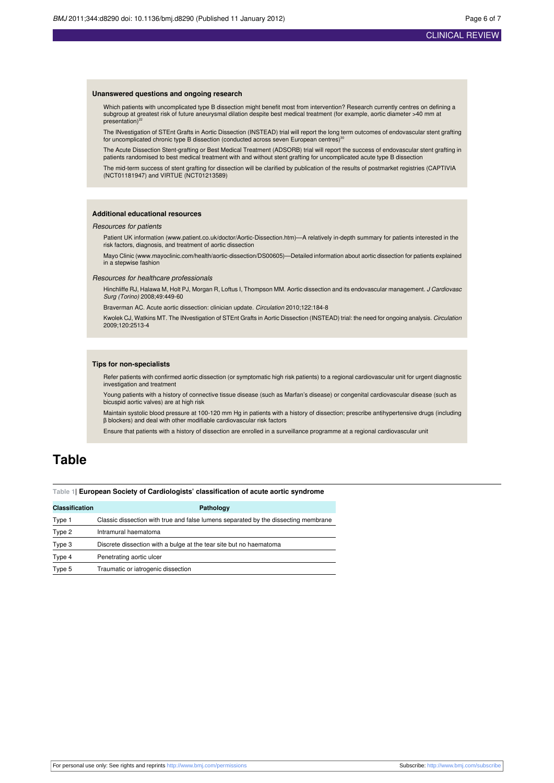## CLINICAL REVIEW

#### **Unanswered questions and ongoing research**

Which patients with uncomplicated type B dissection might benefit most from intervention? Research currently centres on defining a subgroup at greatest risk of future aneurysmal dilation despite best medical treatment (for example, aortic diameter >40 mm at presentation)

The INvestigation of STEnt Grafts in Aortic Dissection (INSTEAD) trial will report the long term outcomes of endovascular stent grafting for uncomplicated chronic type B dissection (conducted across seven European centres)

The Acute Dissection Stent-grafting or Best Medical Treatment (ADSORB) trial will report the success of endovascular stent grafting in patients randomised to best medical treatment with and without stent grafting for uncomplicated acute type B dissection

The mid-term success of stent grafting for dissection will be clarified by publication of the results of postmarket registries (CAPTIVIA (NCT01181947) and VIRTUE (NCT01213589)

#### **Additional educational resources**

#### Resources for patients

Patient UK information [\(www.patient.co.uk/doctor/Aortic-Dissection.htm](http://www.patient.co.uk/doctor/Aortic-Dissection.htm))—A relatively in-depth summary for patients interested in the risk factors, diagnosis, and treatment of aortic dissection

Mayo Clinic ([www.mayoclinic.com/health/aortic-dissection/DS00605\)](http://www.mayoclinic.com/health/aortic-dissection/DS00605)—Detailed information about aortic dissection for patients explained in a stepwise fashion

#### Resources for healthcare professionals

Hinchliffe RJ, Halawa M, Holt PJ, Morgan R, Loftus I, Thompson MM. Aortic dissection and its endovascular management. J Cardiovasc Surg (Torino) 2008;49:449-60

Braverman AC. Acute aortic dissection: clinician update. Circulation 2010;122:184-8

Kwolek CJ, Watkins MT. The INvestigation of STEnt Grafts in Aortic Dissection (INSTEAD) trial: the need for ongoing analysis. Circulation 2009;120:2513-4

#### **Tips for non-specialists**

Refer patients with confirmed aortic dissection (or symptomatic high risk patients) to a regional cardiovascular unit for urgent diagnostic investigation and treatment

Young patients with a history of connective tissue disease (such as Marfan's disease) or congenital cardiovascular disease (such as bicuspid aortic valves) are at high risk

Maintain systolic blood pressure at 100-120 mm Hg in patients with a history of dissection; prescribe antihypertensive drugs (including<br>β blockers) and deal with other modifiable cardiovascular risk factors

Ensure that patients with a history of dissection are enrolled in a surveillance programme at a regional cardiovascular unit

## <span id="page-5-0"></span>**Table**

#### **Table 1| European Society of Cardiologists' classification of acute aortic syndrome**

| <b>Classification</b> | Pathology                                                                          |
|-----------------------|------------------------------------------------------------------------------------|
| Type 1                | Classic dissection with true and false lumens separated by the dissecting membrane |
| Type 2                | Intramural haematoma                                                               |
| Type 3                | Discrete dissection with a bulge at the tear site but no haematoma                 |
| Type 4                | Penetrating aortic ulcer                                                           |
| Type 5                | Traumatic or iatrogenic dissection                                                 |